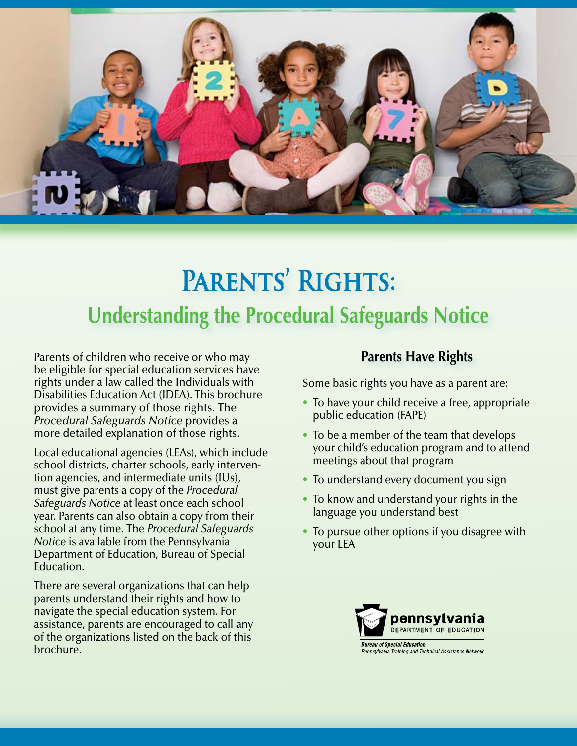

# **Parents' Rights: Understanding the Procedural Safeguards Notice**

Parents of children who receive or who may be eligible for special education services have rights under a law called the Individuals with Disabilities Education Act (IDEA). This brochure provides a summary of those rights. The *Procedural Safeguards Notice* provides a more detailed explanation of those rights.

Local educational agencies (LEAs), which include school districts, charter schools, early intervention agencies, and intermediate units (IUs), must give parents a copy of the *Procedural Safeguards Notice* at least once each school year. Parents can also obtain a copy from their school at any time. The *Procedural Safeguards Notice* is available from the Pennsylvania Department of Education, Bureau of Special Education.

There are several organizations that can help parents understand their rights and how to navigate the special education system. For assistance, parents are encouraged to call any of the organizations listed on the back of this brochure.

# **Parents Have Rights**

Some basic rights you have as a parent are:

- To have your child receive a free, appropriate public education (FAPE)
- To be a member of the team that develops your child's education program and to attend meetings about that program
- To understand every document you sign
- To know and understand your rights in the language you understand best
- To pursue other options if you disagree with your LEA

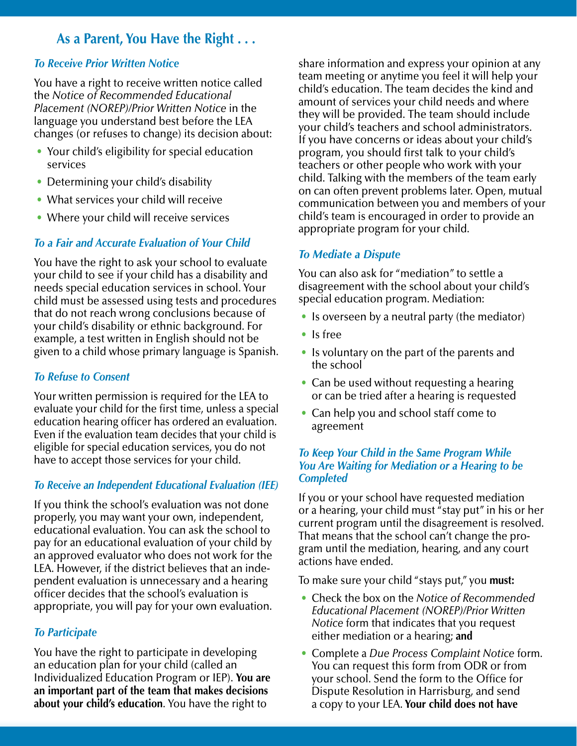# **As a Parent, You Have the Right . . .**

#### *To Receive Prior Written Notice*

You have a right to receive written notice called the *Notice of Recommended Educational Placement (NOREP)/Prior Written Notice* in the language you understand best before the LEA changes (or refuses to change) its decision about:

- Your child's eligibility for special education services
- Determining your child's disability
- What services your child will receive
- Where your child will receive services

### *To a Fair and Accurate Evaluation of Your Child*

You have the right to ask your school to evaluate your child to see if your child has a disability and needs special education services in school. Your child must be assessed using tests and procedures that do not reach wrong conclusions because of your child's disability or ethnic background. For example, a test written in English should not be given to a child whose primary language is Spanish.

#### *To Refuse to Consent*

Your written permission is required for the LEA to evaluate your child for the first time, unless a special education hearing officer has ordered an evaluation. Even if the evaluation team decides that your child is eligible for special education services, you do not have to accept those services for your child.

#### *To Receive an Independent Educational Evaluation (IEE)*

If you think the school's evaluation was not done properly, you may want your own, independent, educational evaluation. You can ask the school to pay for an educational evaluation of your child by an approved evaluator who does not work for the LEA. However, if the district believes that an independent evaluation is unnecessary and a hearing officer decides that the school's evaluation is appropriate, you will pay for your own evaluation.

#### *To Participate*

You have the right to participate in developing an education plan for your child (called an Individualized Education Program or IEP). **You are an important part of the team that makes decisions about your child's education**. You have the right to

share information and express your opinion at any team meeting or anytime you feel it will help your child's education. The team decides the kind and amount of services your child needs and where they will be provided. The team should include your child's teachers and school administrators. If you have concerns or ideas about your child's program, you should first talk to your child's teachers or other people who work with your child. Talking with the members of the team early on can often prevent problems later. Open, mutual communication between you and members of your child's team is encouraged in order to provide an appropriate program for your child.

#### *To Mediate a Dispute*

You can also ask for "mediation" to settle a disagreement with the school about your child's special education program. Mediation:

- Is overseen by a neutral party (the mediator)
- Is free
- Is voluntary on the part of the parents and the school
- Can be used without requesting a hearing or can be tried after a hearing is requested
- Can help you and school staff come to agreement

#### *To Keep Your Child in the Same Program While You Are Waiting for Mediation or a Hearing to be Completed*

If you or your school have requested mediation or a hearing, your child must "stay put" in his or her current program until the disagreement is resolved. That means that the school can't change the program until the mediation, hearing, and any court actions have ended.

To make sure your child "stays put," you **must:**

- Check the box on the *Notice of Recommended Educational Placement (NOREP)/Prior Written Notice* form that indicates that you request either mediation or a hearing; **and**
- Complete a *Due Process Complaint Notice* form. You can request this form from ODR or from your school. Send the form to the Office for Dispute Resolution in Harrisburg, and send a copy to your LEA. **Your child does not have**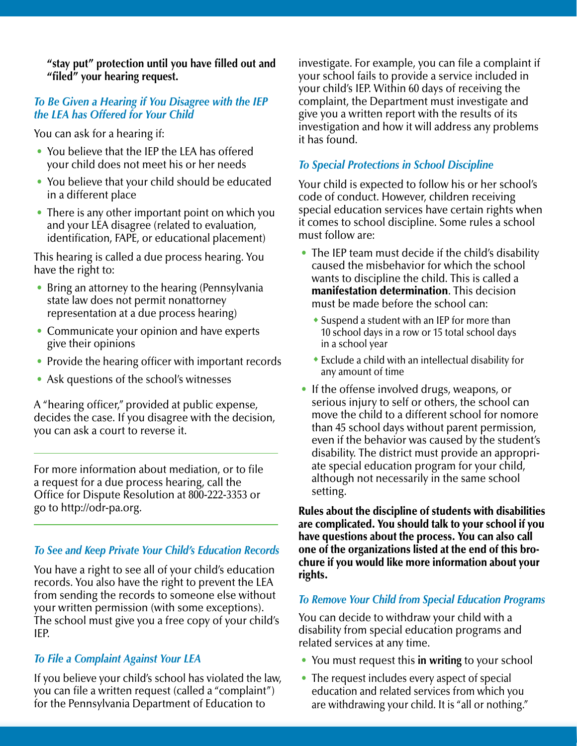**"stay put" protection until you have filled out and "filed" your hearing request.**

#### *To Be Given a Hearing if You Disagree with the IEP the LEA has Offered for Your Child*

You can ask for a hearing if:

- You believe that the IEP the LEA has offered your child does not meet his or her needs
- You believe that your child should be educated in a different place
- There is any other important point on which you and your LEA disagree (related to evaluation, identification, FAPE, or educational placement)

This hearing is called a due process hearing. You have the right to:

- Bring an attorney to the hearing (Pennsylvania state law does not permit nonattorney representation at a due process hearing)
- Communicate your opinion and have experts give their opinions
- Provide the hearing officer with important records
- Ask questions of the school's witnesses

A "hearing officer," provided at public expense, decides the case. If you disagree with the decision, you can ask a court to reverse it.

For more information about mediation, or to file a request for a due process hearing, call the Office for Dispute Resolution at 800-222-3353 or go to http://odr-pa.org.

#### *To See and Keep Private Your Child's Education Records*

You have a right to see all of your child's education records. You also have the right to prevent the LEA from sending the records to someone else without your written permission (with some exceptions). The school must give you a free copy of your child's IEP.

#### *To File a Complaint Against Your LEA*

If you believe your child's school has violated the law, you can file a written request (called a "complaint") for the Pennsylvania Department of Education to

investigate. For example, you can file a complaint if your school fails to provide a service included in your child's IEP. Within 60 days of receiving the complaint, the Department must investigate and give you a written report with the results of its investigation and how it will address any problems it has found.

#### *To Special Protections in School Discipline*

Your child is expected to follow his or her school's code of conduct. However, children receiving special education services have certain rights when it comes to school discipline. Some rules a school must follow are:

- The IEP team must decide if the child's disability caused the misbehavior for which the school wants to discipline the child. This is called a manifestation determination. This decision must be made before the school can:
	- $\bullet$  Suspend a student with an IEP for more than 10 school days in a row or 15 total school days in a school year
	- $\bullet$  Exclude a child with an intellectual disability for any amount of time
- If the offense involved drugs, weapons, or serious injury to self or others, the school can move the child to a different school for nomore than 45 school days without parent permission, even if the behavior was caused by the student's disability. The district must provide an appropriate special education program for your child, although not necessarily in the same school setting.

Rules about the discipline of students with disabilities are complicated. You should talk to your school if you have questions about the process. You can also call one of the organizations listed at the end of this brochure if you would like more information about your rights.

#### *To Remove Your Child from Special Education Programs*

You can decide to withdraw your child with a disability from special education programs and related services at any time.

- You must request this **in writing** to your school
- The request includes every aspect of special education and related services from which you are withdrawing your child. It is "all or nothing."